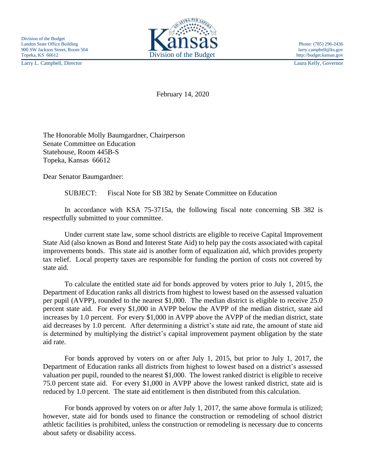Larry L. Campbell, Director Laura Kelly, Governor



February 14, 2020

The Honorable Molly Baumgardner, Chairperson Senate Committee on Education Statehouse, Room 445B-S Topeka, Kansas 66612

Dear Senator Baumgardner:

SUBJECT: Fiscal Note for SB 382 by Senate Committee on Education

In accordance with KSA 75-3715a, the following fiscal note concerning SB 382 is respectfully submitted to your committee.

Under current state law, some school districts are eligible to receive Capital Improvement State Aid (also known as Bond and Interest State Aid) to help pay the costs associated with capital improvements bonds. This state aid is another form of equalization aid, which provides property tax relief. Local property taxes are responsible for funding the portion of costs not covered by state aid.

To calculate the entitled state aid for bonds approved by voters prior to July 1, 2015, the Department of Education ranks all districts from highest to lowest based on the assessed valuation per pupil (AVPP), rounded to the nearest \$1,000. The median district is eligible to receive 25.0 percent state aid. For every \$1,000 in AVPP below the AVPP of the median district, state aid increases by 1.0 percent. For every \$1,000 in AVPP above the AVPP of the median district, state aid decreases by 1.0 percent. After determining a district's state aid rate, the amount of state aid is determined by multiplying the district's capital improvement payment obligation by the state aid rate.

For bonds approved by voters on or after July 1, 2015, but prior to July 1, 2017, the Department of Education ranks all districts from highest to lowest based on a district's assessed valuation per pupil, rounded to the nearest \$1,000. The lowest ranked district is eligible to receive 75.0 percent state aid. For every \$1,000 in AVPP above the lowest ranked district, state aid is reduced by 1.0 percent. The state aid entitlement is then distributed from this calculation.

For bonds approved by voters on or after July 1, 2017, the same above formula is utilized; however, state aid for bonds used to finance the construction or remodeling of school district athletic facilities is prohibited, unless the construction or remodeling is necessary due to concerns about safety or disability access.